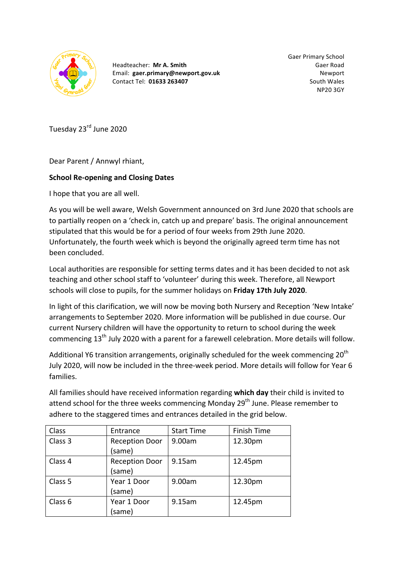

Headteacher: **Mr A. Smith** Email: **gaer.primary@newport.gov.uk** Contact Tel: **01633 263407**

Gaer Primary School Gaer Road **Newport** South Wales NP20 3GY

Tuesday 23<sup>rd</sup> June 2020

Dear Parent / Annwyl rhiant,

## **School Re-opening and Closing Dates**

I hope that you are all well.

As you will be well aware, Welsh Government announced on 3rd June 2020 that schools are to partially reopen on a 'check in, catch up and prepare' basis. The original announcement stipulated that this would be for a period of four weeks from 29th June 2020. Unfortunately, the fourth week which is beyond the originally agreed term time has not been concluded.

Local authorities are responsible for setting terms dates and it has been decided to not ask teaching and other school staff to 'volunteer' during this week. Therefore, all Newport schools will close to pupils, for the summer holidays on Friday 17th July 2020.

In light of this clarification, we will now be moving both Nursery and Reception 'New Intake' arrangements to September 2020. More information will be published in due course. Our current Nursery children will have the opportunity to return to school during the week commencing  $13<sup>th</sup>$  July 2020 with a parent for a farewell celebration. More details will follow.

Additional Y6 transition arrangements, originally scheduled for the week commencing  $20^{th}$ July 2020, will now be included in the three-week period. More details will follow for Year 6 families.

All families should have received information regarding which day their child is invited to attend school for the three weeks commencing Monday  $29<sup>th</sup>$  June. Please remember to adhere to the staggered times and entrances detailed in the grid below.

| Class   | Entrance              | <b>Start Time</b> | Finish Time |
|---------|-----------------------|-------------------|-------------|
| Class 3 | <b>Reception Door</b> | 9.00am            | 12.30pm     |
|         | (same)                |                   |             |
| Class 4 | <b>Reception Door</b> | 9.15am            | 12.45pm     |
|         | (same)                |                   |             |
| Class 5 | Year 1 Door           | 9.00am            | 12.30pm     |
|         | (same)                |                   |             |
| Class 6 | Year 1 Door           | 9.15am            | 12.45pm     |
|         | (same)                |                   |             |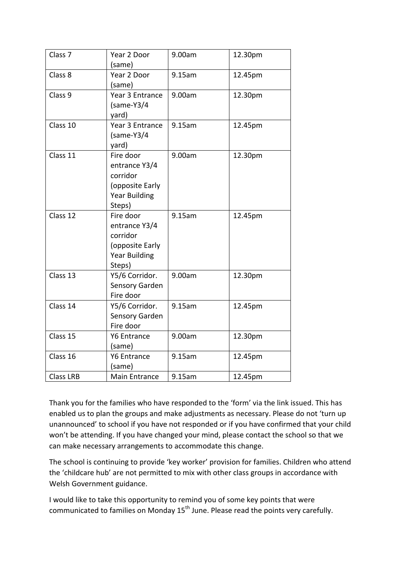| Class <sub>7</sub> | Year 2 Door<br>(same)                                                                       | 9.00am | 12.30pm |
|--------------------|---------------------------------------------------------------------------------------------|--------|---------|
| Class 8            | Year 2 Door<br>(same)                                                                       | 9.15am | 12.45pm |
| Class 9            | Year 3 Entrance<br>$(same-Y3/4)$<br>yard)                                                   | 9.00am | 12.30pm |
| Class 10           | Year 3 Entrance<br>$(same-Y3/4)$<br>yard)                                                   | 9.15am | 12.45pm |
| Class 11           | Fire door<br>entrance Y3/4<br>corridor<br>(opposite Early<br><b>Year Building</b><br>Steps) | 9.00am | 12.30pm |
| Class 12           | Fire door<br>entrance Y3/4<br>corridor<br>(opposite Early<br><b>Year Building</b><br>Steps) | 9.15am | 12.45pm |
| Class 13           | Y5/6 Corridor.<br>Sensory Garden<br>Fire door                                               | 9.00am | 12.30pm |
| Class 14           | Y5/6 Corridor.<br>Sensory Garden<br>Fire door                                               | 9.15am | 12.45pm |
| Class 15           | <b>Y6 Entrance</b><br>(same)                                                                | 9.00am | 12.30pm |
| Class 16           | <b>Y6 Entrance</b><br>(same)                                                                | 9.15am | 12.45pm |
| <b>Class LRB</b>   | <b>Main Entrance</b>                                                                        | 9.15am | 12.45pm |

Thank you for the families who have responded to the 'form' via the link issued. This has enabled us to plan the groups and make adjustments as necessary. Please do not 'turn up unannounced' to school if you have not responded or if you have confirmed that your child won't be attending. If you have changed your mind, please contact the school so that we can make necessary arrangements to accommodate this change.

The school is continuing to provide 'key worker' provision for families. Children who attend the 'childcare hub' are not permitted to mix with other class groups in accordance with Welsh Government guidance.

I would like to take this opportunity to remind you of some key points that were communicated to families on Monday 15<sup>th</sup> June. Please read the points very carefully.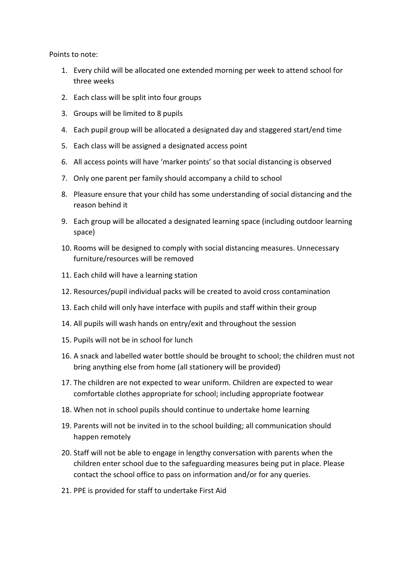Points to note:

- 1. Every child will be allocated one extended morning per week to attend school for three weeks
- 2. Each class will be split into four groups
- 3. Groups will be limited to 8 pupils
- 4. Each pupil group will be allocated a designated day and staggered start/end time
- 5. Each class will be assigned a designated access point
- 6. All access points will have 'marker points' so that social distancing is observed
- 7. Only one parent per family should accompany a child to school
- 8. Pleasure ensure that your child has some understanding of social distancing and the reason behind it
- 9. Each group will be allocated a designated learning space (including outdoor learning space)
- 10. Rooms will be designed to comply with social distancing measures. Unnecessary furniture/resources will be removed
- 11. Each child will have a learning station
- 12. Resources/pupil individual packs will be created to avoid cross contamination
- 13. Each child will only have interface with pupils and staff within their group
- 14. All pupils will wash hands on entry/exit and throughout the session
- 15. Pupils will not be in school for lunch
- 16. A snack and labelled water bottle should be brought to school; the children must not bring anything else from home (all stationery will be provided)
- 17. The children are not expected to wear uniform. Children are expected to wear comfortable clothes appropriate for school; including appropriate footwear
- 18. When not in school pupils should continue to undertake home learning
- 19. Parents will not be invited in to the school building; all communication should happen remotely
- 20. Staff will not be able to engage in lengthy conversation with parents when the children enter school due to the safeguarding measures being put in place. Please contact the school office to pass on information and/or for any queries.
- 21. PPE is provided for staff to undertake First Aid